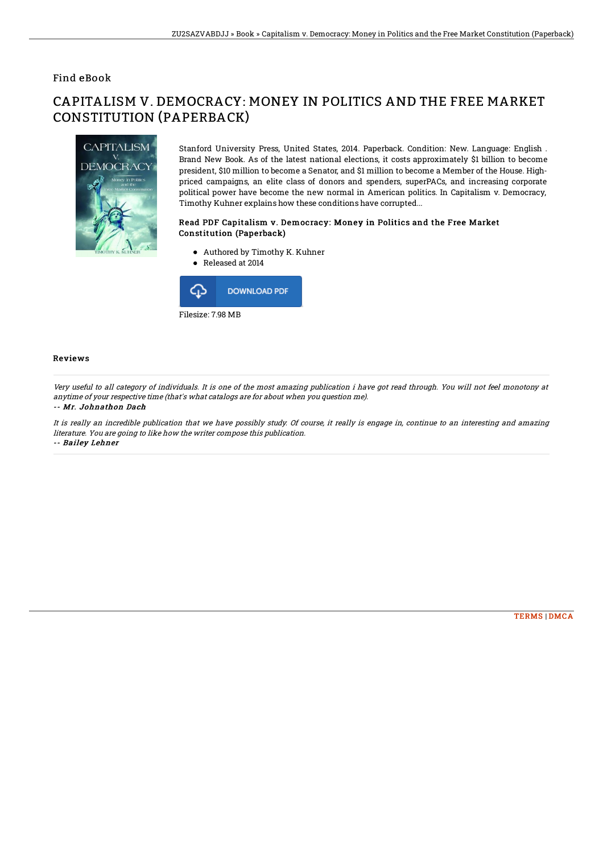### Find eBook

# CAPITALISM V. DEMOCRACY: MONEY IN POLITICS AND THE FREE MARKET CONSTITUTION (PAPERBACK)



Stanford University Press, United States, 2014. Paperback. Condition: New. Language: English . Brand New Book. As of the latest national elections, it costs approximately \$1 billion to become president, \$10 million to become a Senator, and \$1 million to become a Member of the House. Highpriced campaigns, an elite class of donors and spenders, superPACs, and increasing corporate political power have become the new normal in American politics. In Capitalism v. Democracy, Timothy Kuhner explains how these conditions have corrupted...

#### Read PDF Capitalism v. Democracy: Money in Politics and the Free Market Constitution (Paperback)

- Authored by Timothy K. Kuhner
- Released at 2014



#### Reviews

Very useful to all category of individuals. It is one of the most amazing publication i have got read through. You will not feel monotony at anytime of your respective time (that's what catalogs are for about when you question me).

#### -- Mr. Johnathon Dach

It is really an incredible publication that we have possibly study. Of course, it really is engage in, continue to an interesting and amazing literature. You are going to like how the writer compose this publication. -- Bailey Lehner